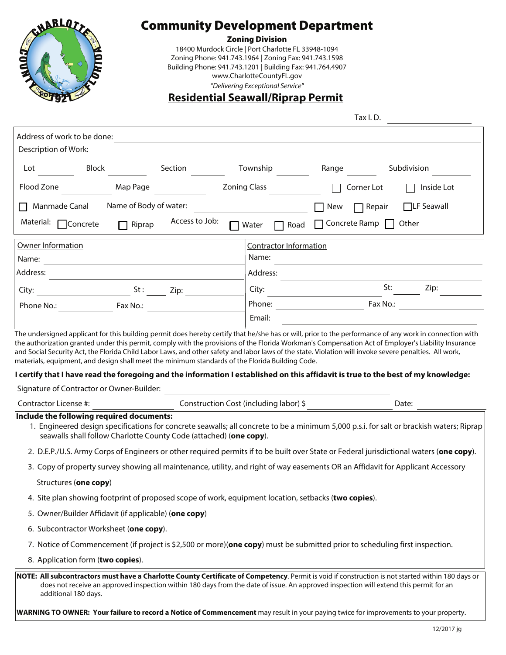

# **Community Development Department**<br><sup>Zoning Division</sup>

18400 Murdock Circle | Port Charlotte FL 33948-1094 Zoning Phone: 941.743.1964 | Zoning Fax: 941.743.1598 Building Phone: 941.743.1201 | Building Fax: 941.764.4907 www.CharlotteCountyFL.gov

## "Delivering Exceptional Service" **Residential Seawall/Riprap Permit**

Tax I. D.

| Address of work to be done:                                                                                                                                                                                                                                                                                        |                                                           |  |  |  |
|--------------------------------------------------------------------------------------------------------------------------------------------------------------------------------------------------------------------------------------------------------------------------------------------------------------------|-----------------------------------------------------------|--|--|--|
| Description of Work:                                                                                                                                                                                                                                                                                               |                                                           |  |  |  |
| Block<br>Section<br>Lot                                                                                                                                                                                                                                                                                            | Township<br>Subdivision<br>Range                          |  |  |  |
| Flood Zone<br>Map Page                                                                                                                                                                                                                                                                                             | <b>Zoning Class</b><br>Inside Lot<br>Corner Lot           |  |  |  |
| Name of Body of water:<br>Manmade Canal                                                                                                                                                                                                                                                                            | □LF Seawall<br>New<br>$\Box$ Repair                       |  |  |  |
| Access to Job:<br>Material: □ Concrete<br>Riprap<br>$\mathbf{I}$                                                                                                                                                                                                                                                   | $\Box$ Concrete Ramp $\Box$ Other<br>$\Box$ Water<br>Road |  |  |  |
| Owner Information                                                                                                                                                                                                                                                                                                  | <b>Contractor Information</b>                             |  |  |  |
| Name:                                                                                                                                                                                                                                                                                                              | Name:                                                     |  |  |  |
| Address:                                                                                                                                                                                                                                                                                                           | Address:                                                  |  |  |  |
| $St:$ Zip:<br>City:                                                                                                                                                                                                                                                                                                | St:<br>Zip:<br>City:                                      |  |  |  |
| Fax No.:<br>Phone No.:                                                                                                                                                                                                                                                                                             | Phone:<br>Fax No.:                                        |  |  |  |
|                                                                                                                                                                                                                                                                                                                    | Email:                                                    |  |  |  |
| I certify that I have read the foregoing and the information I established on this affidavit is true to the best of my knowledge:<br>Signature of Contractor or Owner-Builder:                                                                                                                                     |                                                           |  |  |  |
| Contractor License #:                                                                                                                                                                                                                                                                                              | Construction Cost (including labor) \$<br>Date:           |  |  |  |
| Include the following required documents:<br>1. Engineered design specifications for concrete seawalls; all concrete to be a minimum 5,000 p.s.i. for salt or brackish waters; Riprap<br>seawalls shall follow Charlotte County Code (attached) (one copy).                                                        |                                                           |  |  |  |
| 2. D.E.P./U.S. Army Corps of Engineers or other required permits if to be built over State or Federal jurisdictional waters (one copy).                                                                                                                                                                            |                                                           |  |  |  |
| 3. Copy of property survey showing all maintenance, utility, and right of way easements OR an Affidavit for Applicant Accessory                                                                                                                                                                                    |                                                           |  |  |  |
| Structures (one copy)                                                                                                                                                                                                                                                                                              |                                                           |  |  |  |
| 4. Site plan showing footprint of proposed scope of work, equipment location, setbacks (two copies).                                                                                                                                                                                                               |                                                           |  |  |  |
| 5. Owner/Builder Affidavit (if applicable) (one copy)                                                                                                                                                                                                                                                              |                                                           |  |  |  |
| 6. Subcontractor Worksheet (one copy).                                                                                                                                                                                                                                                                             |                                                           |  |  |  |
| 7. Notice of Commencement (if project is \$2,500 or more)( <b>one copy</b> ) must be submitted prior to scheduling first inspection.                                                                                                                                                                               |                                                           |  |  |  |
| 8. Application form (two copies).                                                                                                                                                                                                                                                                                  |                                                           |  |  |  |
| NOTE: All subcontractors must have a Charlotte County Certificate of Competency. Permit is void if construction is not started within 180 days or<br>does not receive an approved inspection within 180 days from the date of issue. An approved inspection will extend this permit for an<br>additional 180 days. |                                                           |  |  |  |
| <b>WARNING TO OWNER: Your failure to record a Notice of Commencement</b> may result in your paying twice for improvements to your property.                                                                                                                                                                        |                                                           |  |  |  |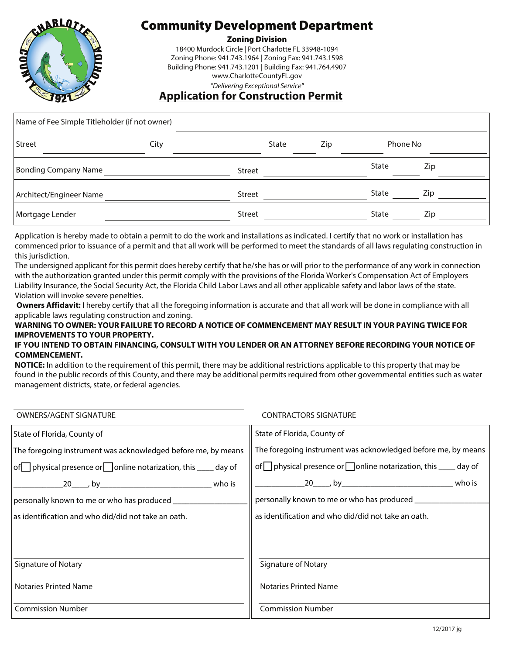

# Community Development Department

18400 Murdock Circle | Port Charlotte FL 33948-1094 Zoning Phone: 941.743.1964 | Zoning Fax: 941.743.1598 Building Phone: 941.743.1201 | Building Fax: 941.764.4907 www.CharlotteCountyFL.gov

### **Application for Construction Permit**

| Name of Fee Simple Titleholder (if not owner) |      |               |              |     |              |     |  |
|-----------------------------------------------|------|---------------|--------------|-----|--------------|-----|--|
| Street                                        | City |               | <b>State</b> | Zip | Phone No     |     |  |
| Bonding Company Name                          |      | <b>Street</b> |              |     | State        | Zip |  |
| Architect/Engineer Name                       |      | <b>Street</b> |              |     | <b>State</b> | Zip |  |
| Mortgage Lender                               |      | <b>Street</b> |              |     | State        | Zip |  |

Application is hereby made to obtain a permit to do the work and installations as indicated. I certify that no work or installation has commenced prior to issuance of a permit and that all work will be performed to meet the standards of all laws regulating construction in this jurisdiction.

The undersigned applicant for this permit does hereby certify that he/she has or will prior to the performance of any work in connection with the authorization granted under this permit comply with the provisions of the Florida Worker's Compensation Act of Employers Liability Insurance, the Social Security Act, the Florida Child Labor Laws and all other applicable safety and labor laws of the state. Violation will invoke severe penelties.

**Owners Affidavit:** I hereby certify that all the foregoing information is accurate and that all work will be done in compliance with all applicable laws regulating construction and zoning.

#### **WARNING TO OWNER: YOUR FAILURE TO RECORD A NOTICE OF COMMENCEMENT MAY RESULT IN YOUR PAYING TWICE FOR IMPROVEMENTS TO YOUR PROPERTY.**

#### **IF YOU INTEND TO OBTAIN FINANCING, CONSULT WITH YOU LENDER OR AN ATTORNEY BEFORE RECORDING YOUR NOTICE OF COMMENCEMENT.**

**NOTICE:** In addition to the requirement of this permit, there may be additional restrictions applicable to this property that may be found in the public records of this County, and there may be additional permits required from other governmental entities such as water management districts, state, or federal agencies.

| <b>OWNERS/AGENT SIGNATURE</b>                                                | <b>CONTRACTORS SIGNATURE</b>                                           |
|------------------------------------------------------------------------------|------------------------------------------------------------------------|
| State of Florida, County of                                                  | State of Florida, County of                                            |
| The foregoing instrument was acknowledged before me, by means                | The foregoing instrument was acknowledged before me, by means          |
| $\sigma$ physical presence or $\Box$ online notarization, this $\Box$ day of | of physical presence or $\Box$ online notarization, this $\Box$ day of |
|                                                                              |                                                                        |
| personally known to me or who has produced _____________                     | personally known to me or who has produced ___________                 |
| as identification and who did/did not take an oath.                          | as identification and who did/did not take an oath.                    |
|                                                                              |                                                                        |
|                                                                              |                                                                        |
| Signature of Notary                                                          | Signature of Notary                                                    |
| <b>Notaries Printed Name</b>                                                 | <b>Notaries Printed Name</b>                                           |
|                                                                              |                                                                        |
| <b>Commission Number</b>                                                     | <b>Commission Number</b>                                               |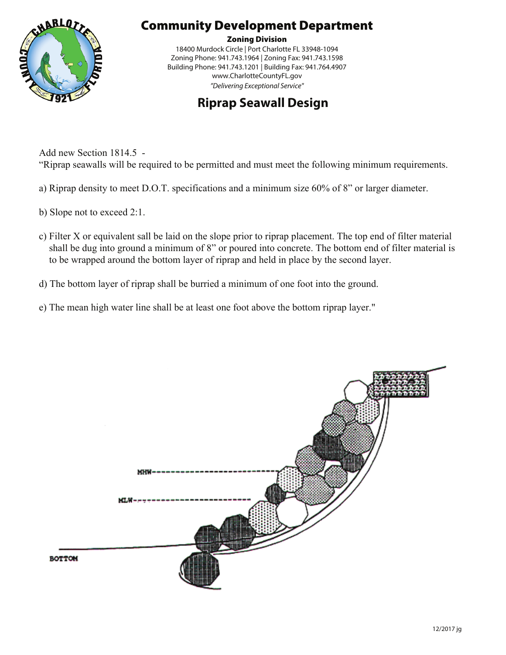

# Community Development Department

18400 Murdock Circle | Port Charlotte FL 33948-1094 Zoning Phone: 941.743.1964 | Zoning Fax: 941.743.1598 Building Phone: 941.743.1201 | Building Fax: 941.764.4907 www.CharlotteCountyFL.gov  $P$  and  $P$  and  $P$  and  $P$  and  $P$  and  $P$ 

### **Riprap Seawall Design**

Add new Section 1814.5 - "Riprap seawalls will be required to be permitted and must meet the following minimum requirements.

- a) Riprap density to meet D.O.T. specifications and a minimum size 60% of 8" or larger diameter.
- b) Slope not to exceed 2:1.
- c) Filter X or equivalent sall be laid on the slope prior to riprap placement. The top end of filter material shall be dug into ground a minimum of 8" or poured into concrete. The bottom end of filter material is to be wrapped around the bottom layer of riprap and held in place by the second layer.
- d) The bottom layer of riprap shall be burried a minimum of one foot into the ground.
- e) The mean high water line shall be at least one foot above the bottom riprap layer."